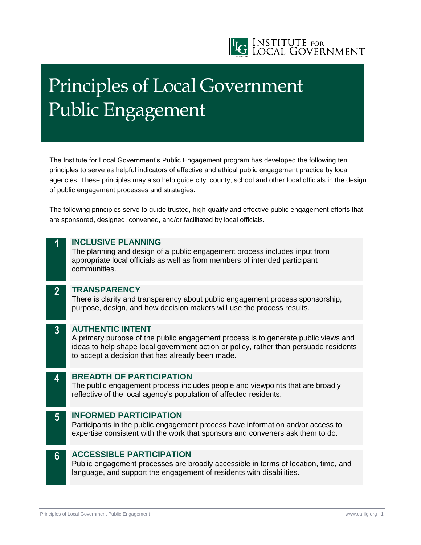

# Principles of Local Government Public Engagement

The Institute for Local Government's Public Engagement program has developed the following ten principles to serve as helpful indicators of effective and ethical public engagement practice by local agencies. These principles may also help guide city, county, school and other local officials in the design of public engagement processes and strategies.

The following principles serve to guide trusted, high-quality and effective public engagement efforts that are sponsored, designed, convened, and/or facilitated by local officials.

### **1 INCLUSIVE PLANNING**

The planning and design of a public engagement process includes input from appropriate local officials as well as from members of intended participant communities.

#### **2 TRANSPARENCY**

There is clarity and transparency about public engagement process sponsorship, purpose, design, and how decision makers will use the process results.

## **3 AUTHENTIC INTENT**

A primary purpose of the public engagement process is to generate public views and ideas to help shape local government action or policy, rather than persuade residents to accept a decision that has already been made.

#### **4 BREADTH OF PARTICIPATION**

The public engagement process includes people and viewpoints that are broadly reflective of the local agency's population of affected residents.

## **5 INFORMED PARTICIPATION**

Participants in the public engagement process have information and/or access to expertise consistent with the work that sponsors and conveners ask them to do.

## **6 ACCESSIBLE PARTICIPATION**

Public engagement processes are broadly accessible in terms of location, time, and language, and support the engagement of residents with disabilities.